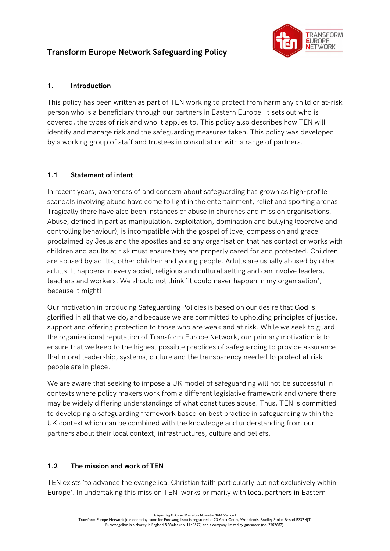# Transform Europe Network Safeguarding Policy



### 1. Introduction

This policy has been written as part of TEN working to protect from harm any child or at-risk person who is a beneficiary through our partners in Eastern Europe. It sets out who is covered, the types of risk and who it applies to. This policy also describes how TEN will identify and manage risk and the safeguarding measures taken. This policy was developed by a working group of staff and trustees in consultation with a range of partners.

# 1.1 Statement of intent

In recent years, awareness of and concern about safeguarding has grown as high-profile scandals involving abuse have come to light in the entertainment, relief and sporting arenas. Tragically there have also been instances of abuse in churches and mission organisations. Abuse, defined in part as manipulation, exploitation, domination and bullying (coercive and controlling behaviour), is incompatible with the gospel of love, compassion and grace proclaimed by Jesus and the apostles and so any organisation that has contact or works with children and adults at risk must ensure they are properly cared for and protected. Children are abused by adults, other children and young people. Adults are usually abused by other adults. It happens in every social, religious and cultural setting and can involve leaders, teachers and workers. We should not think 'it could never happen in my organisation', because it might!

Our motivation in producing Safeguarding Policies is based on our desire that God is glorified in all that we do, and because we are committed to upholding principles of justice, support and offering protection to those who are weak and at risk. While we seek to guard the organizational reputation of Transform Europe Network, our primary motivation is to ensure that we keep to the highest possible practices of safeguarding to provide assurance that moral leadership, systems, culture and the transparency needed to protect at risk people are in place.

We are aware that seeking to impose a UK model of safeguarding will not be successful in contexts where policy makers work from a different legislative framework and where there may be widely differing understandings of what constitutes abuse. Thus, TEN is committed to developing a safeguarding framework based on best practice in safeguarding within the UK context which can be combined with the knowledge and understanding from our partners about their local context, infrastructures, culture and beliefs.

# 1.2 The mission and work of TEN

TEN exists 'to advance the evangelical Christian faith particularly but not exclusively within Europe'. In undertaking this mission TEN works primarily with local partners in Eastern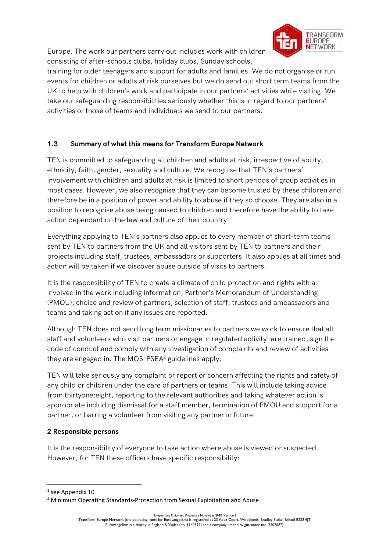Europe. The work our partners carry out includes work with children consisting of after-schools clubs, holiday clubs, Sunday schools,



training for older teenagers and support for adults and families. We do not organise or run events for children or adults at risk ourselves but we do send out short term teams from the UK to help with children's work and participate in our partners' activities while visiting. We take our safeguarding responsibilities seriously whether this is in regard to our partners' activities or those of teams and individuals we send to our partners.

# 1.3 Summary of what this means for Transform Europe Network

TEN is committed to safeguarding all children and adults at risk, irrespective of ability, ethnicity, faith, gender, sexuality and culture. We recognise that TEN's partners' involvement with children and adults at risk is limited to short periods of group activities in most cases. However, we also recognise that they can become trusted by these children and therefore be in a position of power and ability to abuse if they so choose. They are also in a position to recognise abuse being caused to children and therefore have the ability to take action dependant on the law and culture of their country.

Everything applying to TEN's partners also applies to every member of short-term teams sent by TEN to partners from the UK and all visitors sent by TEN to partners and their projects including staff, trustees, ambassadors or supporters. It also applies at all times and action will be taken if we discover abuse outside of visits to partners.

It is the responsibility of TEN to create a climate of child protection and rights with all involved in the work including information, Partner's Memorandum of Understanding (PMOU), choice and review of partners, selection of staff, trustees and ambassadors and teams and taking action if any issues are reported.

Although TEN does not send long term missionaries to partners we work to ensure that all staff and volunteers who visit partners or engage in regulated activity<sup>1</sup> are trained, sign the code of conduct and comply with any investigation of complaints and review of activities they are engaged in. The MOS-PSEA<sup>2</sup> guidelines apply.

TEN will take seriously any complaint or report or concern affecting the rights and safety of any child or children under the care of partners or teams. This will include taking advice from thirtyone:eight, reporting to the relevant authorities and taking whatever action is appropriate including dismissal for a staff member, termination of PMOU and support for a partner, or barring a volunteer from visiting any partner in future.

# 2 Responsible persons

It is the responsibility of everyone to take action where abuse is viewed or suspected. However, for TEN these officers have specific responsibility:

<sup>1</sup> see Appendix 10

<sup>&</sup>lt;sup>2</sup> Minimum Operating Standards-Protection from Sexual Exploitation and Abuse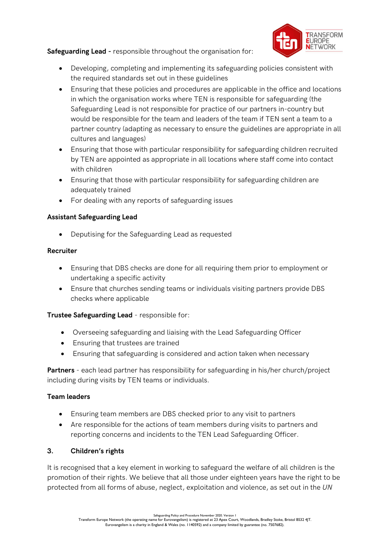Safeguarding Lead - responsible throughout the organisation for:



- Developing, completing and implementing its safeguarding policies consistent with the required standards set out in these guidelines
- Ensuring that these policies and procedures are applicable in the office and locations in which the organisation works where TEN is responsible for safeguarding (the Safeguarding Lead is not responsible for practice of our partners in-country but would be responsible for the team and leaders of the team if TEN sent a team to a partner country (adapting as necessary to ensure the guidelines are appropriate in all cultures and languages)
- Ensuring that those with particular responsibility for safeguarding children recruited by TEN are appointed as appropriate in all locations where staff come into contact with children
- Ensuring that those with particular responsibility for safeguarding children are adequately trained
- For dealing with any reports of safeguarding issues

### Assistant Safeguarding Lead

Deputising for the Safeguarding Lead as requested

#### Recruiter

- Ensuring that DBS checks are done for all requiring them prior to employment or undertaking a specific activity
- Ensure that churches sending teams or individuals visiting partners provide DBS checks where applicable

# Trustee Safeguarding Lead - responsible for:

- Overseeing safeguarding and liaising with the Lead Safeguarding Officer
- Ensuring that trustees are trained
- Ensuring that safeguarding is considered and action taken when necessary

Partners - each lead partner has responsibility for safeguarding in his/her church/project including during visits by TEN teams or individuals.

#### Team leaders

- Ensuring team members are DBS checked prior to any visit to partners
- Are responsible for the actions of team members during visits to partners and reporting concerns and incidents to the TEN Lead Safeguarding Officer.

# 3. Children's rights

It is recognised that a key element in working to safeguard the welfare of all children is the promotion of their rights. We believe that all those under eighteen years have the right to be protected from all forms of abuse, neglect, exploitation and violence, as set out in the UN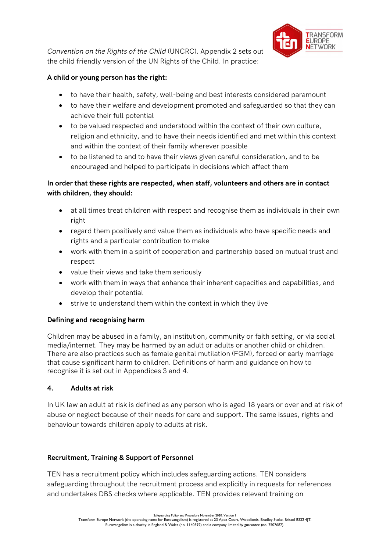

Convention on the Rights of the Child (UNCRC). Appendix 2 sets out the child friendly version of the UN Rights of the Child. In practice:

# A child or young person has the right:

- to have their health, safety, well-being and best interests considered paramount
- to have their welfare and development promoted and safeguarded so that they can achieve their full potential
- to be valued respected and understood within the context of their own culture, religion and ethnicity, and to have their needs identified and met within this context and within the context of their family wherever possible
- to be listened to and to have their views given careful consideration, and to be encouraged and helped to participate in decisions which affect them

# In order that these rights are respected, when staff, volunteers and others are in contact with children, they should:

- at all times treat children with respect and recognise them as individuals in their own right
- regard them positively and value them as individuals who have specific needs and rights and a particular contribution to make
- work with them in a spirit of cooperation and partnership based on mutual trust and respect
- value their views and take them seriously
- work with them in ways that enhance their inherent capacities and capabilities, and develop their potential
- strive to understand them within the context in which they live

# Defining and recognising harm

Children may be abused in a family, an institution, community or faith setting, or via social media/internet. They may be harmed by an adult or adults or another child or children. There are also practices such as female genital mutilation (FGM), forced or early marriage that cause significant harm to children. Definitions of harm and guidance on how to recognise it is set out in Appendices 3 and 4.

# 4. Adults at risk

In UK law an adult at risk is defined as any person who is aged 18 years or over and at risk of abuse or neglect because of their needs for care and support. The same issues, rights and behaviour towards children apply to adults at risk.

# Recruitment, Training & Support of Personnel

TEN has a recruitment policy which includes safeguarding actions. TEN considers safeguarding throughout the recruitment process and explicitly in requests for references and undertakes DBS checks where applicable. TEN provides relevant training on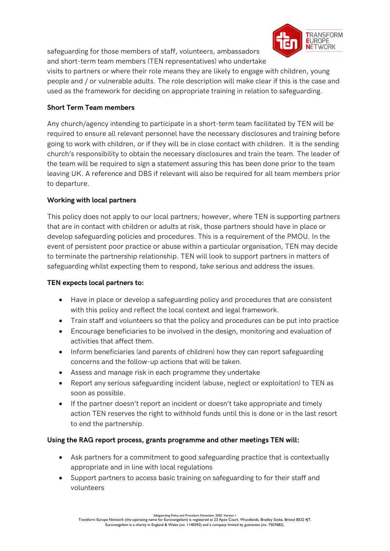safeguarding for those members of staff, volunteers, ambassadors and short-term team members (TEN representatives) who undertake



visits to partners or where their role means they are likely to engage with children, young people and / or vulnerable adults. The role description will make clear if this is the case and used as the framework for deciding on appropriate training in relation to safeguarding.

# Short Term Team members

Any church/agency intending to participate in a short-term team facilitated by TEN will be required to ensure all relevant personnel have the necessary disclosures and training before going to work with children, or if they will be in close contact with children. It is the sending church's responsibility to obtain the necessary disclosures and train the team. The leader of the team will be required to sign a statement assuring this has been done prior to the team leaving UK. A reference and DBS if relevant will also be required for all team members prior to departure.

# Working with local partners

This policy does not apply to our local partners; however, where TEN is supporting partners that are in contact with children or adults at risk, those partners should have in place or develop safeguarding policies and procedures. This is a requirement of the PMOU. In the event of persistent poor practice or abuse within a particular organisation, TEN may decide to terminate the partnership relationship. TEN will look to support partners in matters of safeguarding whilst expecting them to respond, take serious and address the issues.

# TEN expects local partners to:

- Have in place or develop a safeguarding policy and procedures that are consistent with this policy and reflect the local context and legal framework.
- Train staff and volunteers so that the policy and procedures can be put into practice
- Encourage beneficiaries to be involved in the design, monitoring and evaluation of activities that affect them.
- Inform beneficiaries (and parents of children) how they can report safeguarding concerns and the follow-up actions that will be taken.
- Assess and manage risk in each programme they undertake
- Report any serious safeguarding incident (abuse, neglect or exploitation) to TEN as soon as possible.
- If the partner doesn't report an incident or doesn't take appropriate and timely action TEN reserves the right to withhold funds until this is done or in the last resort to end the partnership.

# Using the RAG report process, grants programme and other meetings TEN will:

- Ask partners for a commitment to good safeguarding practice that is contextually appropriate and in line with local regulations
- Support partners to access basic training on safeguarding to for their staff and volunteers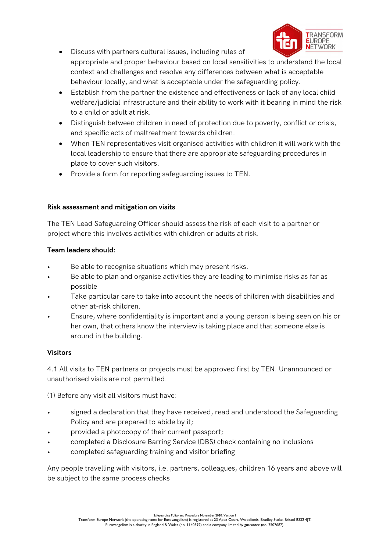

- Discuss with partners cultural issues, including rules of appropriate and proper behaviour based on local sensitivities to understand the local context and challenges and resolve any differences between what is acceptable behaviour locally, and what is acceptable under the safeguarding policy.
- Establish from the partner the existence and effectiveness or lack of any local child welfare/judicial infrastructure and their ability to work with it bearing in mind the risk to a child or adult at risk.
- Distinguish between children in need of protection due to poverty, conflict or crisis, and specific acts of maltreatment towards children.
- When TEN representatives visit organised activities with children it will work with the local leadership to ensure that there are appropriate safeguarding procedures in place to cover such visitors.
- Provide a form for reporting safeguarding issues to TEN.

# Risk assessment and mitigation on visits

The TEN Lead Safeguarding Officer should assess the risk of each visit to a partner or project where this involves activities with children or adults at risk.

# Team leaders should:

- Be able to recognise situations which may present risks.
- Be able to plan and organise activities they are leading to minimise risks as far as possible
- Take particular care to take into account the needs of children with disabilities and other at-risk children.
- Ensure, where confidentiality is important and a young person is being seen on his or her own, that others know the interview is taking place and that someone else is around in the building.

# Visitors

4.1 All visits to TEN partners or projects must be approved first by TEN. Unannounced or unauthorised visits are not permitted.

(1) Before any visit all visitors must have:

- signed a declaration that they have received, read and understood the Safeguarding Policy and are prepared to abide by it;
- provided a photocopy of their current passport;
- completed a Disclosure Barring Service (DBS) check containing no inclusions
- completed safeguarding training and visitor briefing

Any people travelling with visitors, i.e. partners, colleagues, children 16 years and above will be subject to the same process checks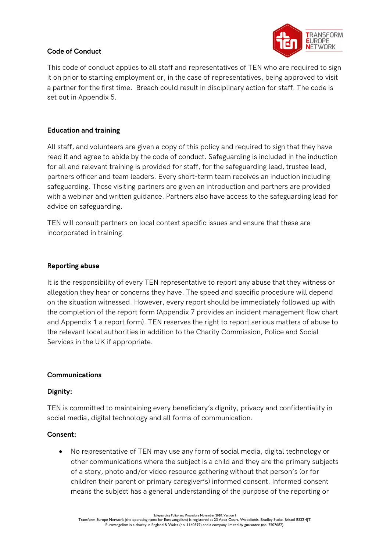## Code of Conduct



This code of conduct applies to all staff and representatives of TEN who are required to sign it on prior to starting employment or, in the case of representatives, being approved to visit a partner for the first time. Breach could result in disciplinary action for staff. The code is set out in Appendix 5.

## Education and training

All staff, and volunteers are given a copy of this policy and required to sign that they have read it and agree to abide by the code of conduct. Safeguarding is included in the induction for all and relevant training is provided for staff, for the safeguarding lead, trustee lead, partners officer and team leaders. Every short-term team receives an induction including safeguarding. Those visiting partners are given an introduction and partners are provided with a webinar and written guidance. Partners also have access to the safeguarding lead for advice on safeguarding.

TEN will consult partners on local context specific issues and ensure that these are incorporated in training.

#### Reporting abuse

It is the responsibility of every TEN representative to report any abuse that they witness or allegation they hear or concerns they have. The speed and specific procedure will depend on the situation witnessed. However, every report should be immediately followed up with the completion of the report form (Appendix 7 provides an incident management flow chart and Appendix 1 a report form). TEN reserves the right to report serious matters of abuse to the relevant local authorities in addition to the Charity Commission, Police and Social Services in the UK if appropriate.

#### Communications

#### Dignity:

TEN is committed to maintaining every beneficiary's dignity, privacy and confidentiality in social media, digital technology and all forms of communication.

#### Consent:

 No representative of TEN may use any form of social media, digital technology or other communications where the subject is a child and they are the primary subjects of a story, photo and/or video resource gathering without that person's (or for children their parent or primary caregiver's) informed consent. Informed consent means the subject has a general understanding of the purpose of the reporting or

Safeguarding Policy and Procedure November 2020. Version I<br>Transform Europe Network (the operating name for Eurovangelism) is registered at 23 Apex Court, Woodlands, Bradley Stoke, Bristol BS32 4JT. Eurovangelism is a charity in England & Wales (no. 1140592) and a company limited by guarantee (no. 7507682).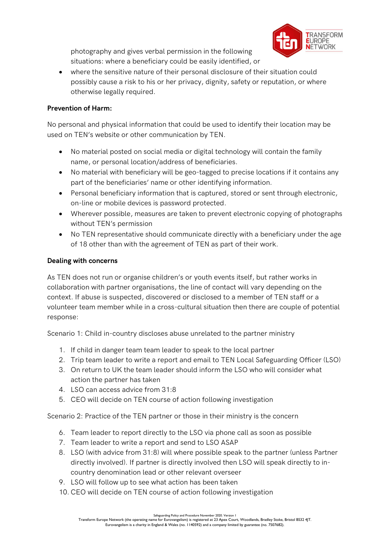photography and gives verbal permission in the following situations: where a beneficiary could be easily identified, or



 where the sensitive nature of their personal disclosure of their situation could possibly cause a risk to his or her privacy, dignity, safety or reputation, or where otherwise legally required.

# Prevention of Harm:

No personal and physical information that could be used to identify their location may be used on TEN's website or other communication by TEN.

- No material posted on social media or digital technology will contain the family name, or personal location/address of beneficiaries.
- No material with beneficiary will be geo-tagged to precise locations if it contains any part of the beneficiaries' name or other identifying information.
- Personal beneficiary information that is captured, stored or sent through electronic, on-line or mobile devices is password protected.
- Wherever possible, measures are taken to prevent electronic copying of photographs without TEN's permission
- No TEN representative should communicate directly with a beneficiary under the age of 18 other than with the agreement of TEN as part of their work.

# Dealing with concerns

As TEN does not run or organise children's or youth events itself, but rather works in collaboration with partner organisations, the line of contact will vary depending on the context. If abuse is suspected, discovered or disclosed to a member of TEN staff or a volunteer team member while in a cross-cultural situation then there are couple of potential response:

Scenario 1: Child in-country discloses abuse unrelated to the partner ministry

- 1. If child in danger team team leader to speak to the local partner
- 2. Trip team leader to write a report and email to TEN Local Safeguarding Officer (LSO)
- 3. On return to UK the team leader should inform the LSO who will consider what action the partner has taken
- 4. LSO can access advice from 31:8
- 5. CEO will decide on TEN course of action following investigation

Scenario 2: Practice of the TEN partner or those in their ministry is the concern

- 6. Team leader to report directly to the LSO via phone call as soon as possible
- 7. Team leader to write a report and send to LSO ASAP
- 8. LSO (with advice from 31:8) will where possible speak to the partner (unless Partner directly involved). If partner is directly involved then LSO will speak directly to incountry denomination lead or other relevant overseer
- 9. LSO will follow up to see what action has been taken
- 10. CEO will decide on TEN course of action following investigation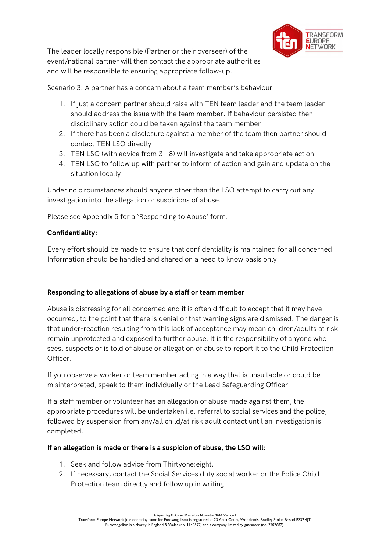

The leader locally responsible (Partner or their overseer) of the event/national partner will then contact the appropriate authorities and will be responsible to ensuring appropriate follow-up.

Scenario 3: A partner has a concern about a team member's behaviour

- 1. If just a concern partner should raise with TEN team leader and the team leader should address the issue with the team member. If behaviour persisted then disciplinary action could be taken against the team member
- 2. If there has been a disclosure against a member of the team then partner should contact TEN LSO directly
- 3. TEN LSO (with advice from 31:8) will investigate and take appropriate action
- 4. TEN LSO to follow up with partner to inform of action and gain and update on the situation locally

Under no circumstances should anyone other than the LSO attempt to carry out any investigation into the allegation or suspicions of abuse.

Please see Appendix 5 for a 'Responding to Abuse' form.

# Confidentiality:

Every effort should be made to ensure that confidentiality is maintained for all concerned. Information should be handled and shared on a need to know basis only.

# Responding to allegations of abuse by a staff or team member

Abuse is distressing for all concerned and it is often difficult to accept that it may have occurred, to the point that there is denial or that warning signs are dismissed. The danger is that under-reaction resulting from this lack of acceptance may mean children/adults at risk remain unprotected and exposed to further abuse. It is the responsibility of anyone who sees, suspects or is told of abuse or allegation of abuse to report it to the Child Protection Officer.

If you observe a worker or team member acting in a way that is unsuitable or could be misinterpreted, speak to them individually or the Lead Safeguarding Officer.

If a staff member or volunteer has an allegation of abuse made against them, the appropriate procedures will be undertaken i.e. referral to social services and the police, followed by suspension from any/all child/at risk adult contact until an investigation is completed.

# If an allegation is made or there is a suspicion of abuse, the LSO will:

- 1. Seek and follow advice from Thirtyone:eight.
- 2. If necessary, contact the Social Services duty social worker or the Police Child Protection team directly and follow up in writing.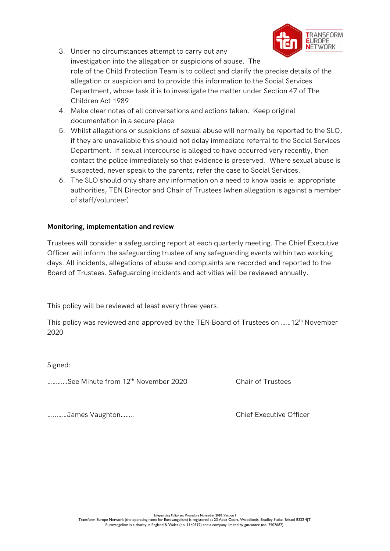

- 3. Under no circumstances attempt to carry out any investigation into the allegation or suspicions of abuse. The role of the Child Protection Team is to collect and clarify the precise details of the allegation or suspicion and to provide this information to the Social Services Department, whose task it is to investigate the matter under Section 47 of The Children Act 1989
- 4. Make clear notes of all conversations and actions taken. Keep original documentation in a secure place
- 5. Whilst allegations or suspicions of sexual abuse will normally be reported to the SLO, if they are unavailable this should not delay immediate referral to the Social Services Department. If sexual intercourse is alleged to have occurred very recently, then contact the police immediately so that evidence is preserved. Where sexual abuse is suspected, never speak to the parents; refer the case to Social Services.
- 6. The SLO should only share any information on a need to know basis ie. appropriate authorities, TEN Director and Chair of Trustees (when allegation is against a member of staff/volunteer).

### Monitoring, implementation and review

Trustees will consider a safeguarding report at each quarterly meeting. The Chief Executive Officer will inform the safeguarding trustee of any safeguarding events within two working days. All incidents, allegations of abuse and complaints are recorded and reported to the Board of Trustees. Safeguarding incidents and activities will be reviewed annually.

This policy will be reviewed at least every three years.

This policy was reviewed and approved by the TEN Board of Trustees on ……12th November 2020

Signed:

…………See Minute from 12th November 2020 Chair of Trustees

…..……James Vaughton…….. Chief Executive Officer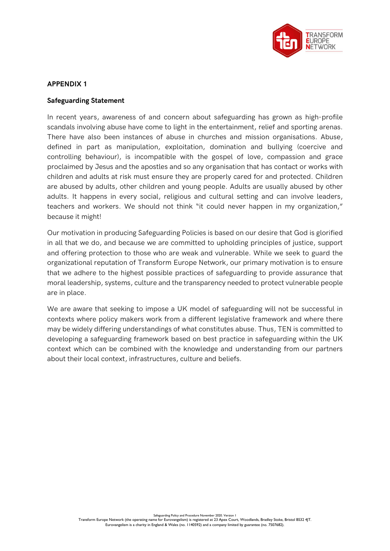

#### Safeguarding Statement

In recent years, awareness of and concern about safeguarding has grown as high-profile scandals involving abuse have come to light in the entertainment, relief and sporting arenas. There have also been instances of abuse in churches and mission organisations. Abuse, defined in part as manipulation, exploitation, domination and bullying (coercive and controlling behaviour), is incompatible with the gospel of love, compassion and grace proclaimed by Jesus and the apostles and so any organisation that has contact or works with children and adults at risk must ensure they are properly cared for and protected. Children are abused by adults, other children and young people. Adults are usually abused by other adults. It happens in every social, religious and cultural setting and can involve leaders, teachers and workers. We should not think "it could never happen in my organization," because it might!

Our motivation in producing Safeguarding Policies is based on our desire that God is glorified in all that we do, and because we are committed to upholding principles of justice, support and offering protection to those who are weak and vulnerable. While we seek to guard the organizational reputation of Transform Europe Network, our primary motivation is to ensure that we adhere to the highest possible practices of safeguarding to provide assurance that moral leadership, systems, culture and the transparency needed to protect vulnerable people are in place.

We are aware that seeking to impose a UK model of safeguarding will not be successful in contexts where policy makers work from a different legislative framework and where there may be widely differing understandings of what constitutes abuse. Thus, TEN is committed to developing a safeguarding framework based on best practice in safeguarding within the UK context which can be combined with the knowledge and understanding from our partners about their local context, infrastructures, culture and beliefs.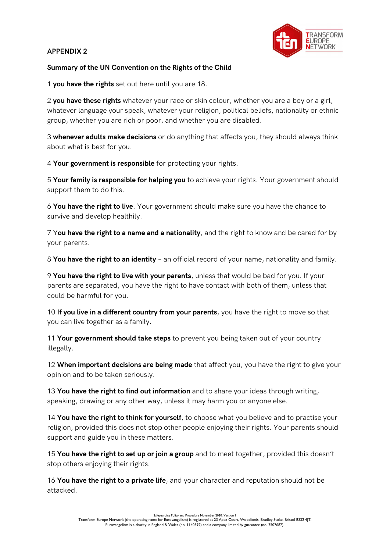

### Summary of the UN Convention on the Rights of the Child

1 you have the rights set out here until you are 18.

2 you have these rights whatever your race or skin colour, whether you are a boy or a girl, whatever language your speak, whatever your religion, political beliefs, nationality or ethnic group, whether you are rich or poor, and whether you are disabled.

3 whenever adults make decisions or do anything that affects you, they should always think about what is best for you.

4 Your government is responsible for protecting your rights.

5 Your family is responsible for helping you to achieve your rights. Your government should support them to do this.

6 You have the right to live. Your government should make sure you have the chance to survive and develop healthily.

7 You have the right to a name and a nationality, and the right to know and be cared for by your parents.

8 You have the right to an identity - an official record of your name, nationality and family.

9 You have the right to live with your parents, unless that would be bad for you. If your parents are separated, you have the right to have contact with both of them, unless that could be harmful for you.

10 If you live in a different country from your parents, you have the right to move so that you can live together as a family.

11 Your government should take steps to prevent you being taken out of your country illegally.

12 When important decisions are being made that affect you, you have the right to give your opinion and to be taken seriously.

13 You have the right to find out information and to share your ideas through writing, speaking, drawing or any other way, unless it may harm you or anyone else.

14 You have the right to think for yourself, to choose what you believe and to practise your religion, provided this does not stop other people enjoying their rights. Your parents should support and guide you in these matters.

15 You have the right to set up or join a group and to meet together, provided this doesn't stop others enjoying their rights.

16 You have the right to a private life, and your character and reputation should not be attacked.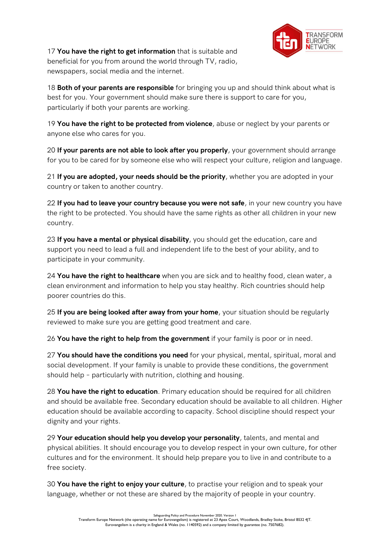

17 You have the right to get information that is suitable and beneficial for you from around the world through TV, radio, newspapers, social media and the internet.

18 Both of your parents are responsible for bringing you up and should think about what is best for you. Your government should make sure there is support to care for you, particularly if both your parents are working.

19 You have the right to be protected from violence, abuse or neglect by your parents or anyone else who cares for you.

20 If your parents are not able to look after you properly, your government should arrange for you to be cared for by someone else who will respect your culture, religion and language.

21 If you are adopted, your needs should be the priority, whether you are adopted in your country or taken to another country.

22 If you had to leave your country because you were not safe, in your new country you have the right to be protected. You should have the same rights as other all children in your new country.

23 If you have a mental or physical disability, you should get the education, care and support you need to lead a full and independent life to the best of your ability, and to participate in your community.

24 You have the right to healthcare when you are sick and to healthy food, clean water, a clean environment and information to help you stay healthy. Rich countries should help poorer countries do this.

25 If you are being looked after away from your home, your situation should be regularly reviewed to make sure you are getting good treatment and care.

26 You have the right to help from the government if your family is poor or in need.

27 You should have the conditions you need for your physical, mental, spiritual, moral and social development. If your family is unable to provide these conditions, the government should help – particularly with nutrition, clothing and housing.

28 You have the right to education. Primary education should be required for all children and should be available free. Secondary education should be available to all children. Higher education should be available according to capacity. School discipline should respect your dignity and your rights.

29 Your education should help you develop your personality, talents, and mental and physical abilities. It should encourage you to develop respect in your own culture, for other cultures and for the environment. It should help prepare you to live in and contribute to a free society.

30 You have the right to enjoy your culture, to practise your religion and to speak your language, whether or not these are shared by the majority of people in your country.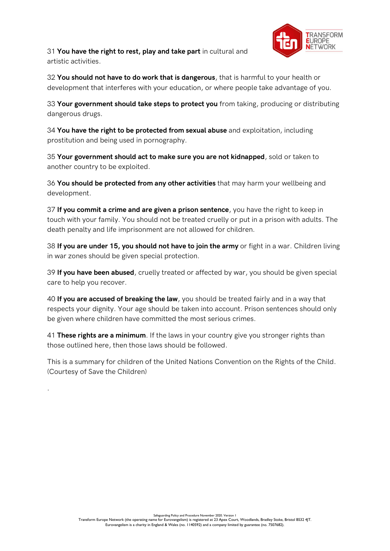

31 You have the right to rest, play and take part in cultural and artistic activities.

32 You should not have to do work that is dangerous, that is harmful to your health or development that interferes with your education, or where people take advantage of you.

33 Your government should take steps to protect you from taking, producing or distributing dangerous drugs.

34 You have the right to be protected from sexual abuse and exploitation, including prostitution and being used in pornography.

35 Your government should act to make sure you are not kidnapped, sold or taken to another country to be exploited.

36 You should be protected from any other activities that may harm your wellbeing and development.

37 If you commit a crime and are given a prison sentence, you have the right to keep in touch with your family. You should not be treated cruelly or put in a prison with adults. The death penalty and life imprisonment are not allowed for children.

38 If you are under 15, you should not have to join the army or fight in a war. Children living in war zones should be given special protection.

39 If you have been abused, cruelly treated or affected by war, you should be given special care to help you recover.

40 If you are accused of breaking the law, you should be treated fairly and in a way that respects your dignity. Your age should be taken into account. Prison sentences should only be given where children have committed the most serious crimes.

41 These rights are a minimum. If the laws in your country give you stronger rights than those outlined here, then those laws should be followed.

This is a summary for children of the United Nations Convention on the Rights of the Child. (Courtesy of Save the Children)

.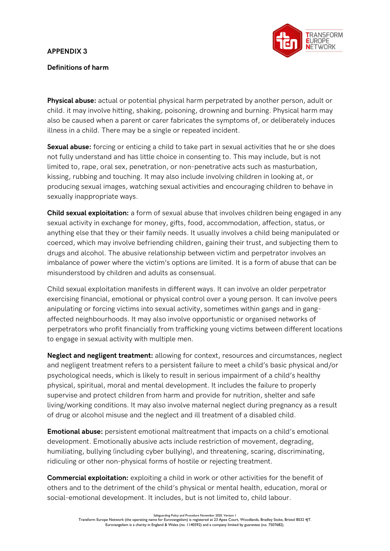

## Definitions of harm

**Physical abuse:** actual or potential physical harm perpetrated by another person, adult or child. it may involve hitting, shaking, poisoning, drowning and burning. Physical harm may also be caused when a parent or carer fabricates the symptoms of, or deliberately induces illness in a child. There may be a single or repeated incident.

Sexual abuse: forcing or enticing a child to take part in sexual activities that he or she does not fully understand and has little choice in consenting to. This may include, but is not limited to, rape, oral sex, penetration, or non-penetrative acts such as masturbation, kissing, rubbing and touching. It may also include involving children in looking at, or producing sexual images, watching sexual activities and encouraging children to behave in sexually inappropriate ways.

**Child sexual exploitation:** a form of sexual abuse that involves children being engaged in any sexual activity in exchange for money, gifts, food, accommodation, affection, status, or anything else that they or their family needs. It usually involves a child being manipulated or coerced, which may involve befriending children, gaining their trust, and subjecting them to drugs and alcohol. The abusive relationship between victim and perpetrator involves an imbalance of power where the victim's options are limited. It is a form of abuse that can be misunderstood by children and adults as consensual.

Child sexual exploitation manifests in different ways. It can involve an older perpetrator exercising financial, emotional or physical control over a young person. It can involve peers anipulating or forcing victims into sexual activity, sometimes within gangs and in gangaffected neighbourhoods. It may also involve opportunistic or organised networks of perpetrators who profit financially from trafficking young victims between different locations to engage in sexual activity with multiple men.

Neglect and negligent treatment: allowing for context, resources and circumstances, neglect and negligent treatment refers to a persistent failure to meet a child's basic physical and/or psychological needs, which is likely to result in serious impairment of a child's healthy physical, spiritual, moral and mental development. It includes the failure to properly supervise and protect children from harm and provide for nutrition, shelter and safe living/working conditions. It may also involve maternal neglect during pregnancy as a result of drug or alcohol misuse and the neglect and ill treatment of a disabled child.

Emotional abuse: persistent emotional maltreatment that impacts on a child's emotional development. Emotionally abusive acts include restriction of movement, degrading, humiliating, bullying (including cyber bullying), and threatening, scaring, discriminating, ridiculing or other non-physical forms of hostile or rejecting treatment.

Commercial exploitation: exploiting a child in work or other activities for the benefit of others and to the detriment of the child's physical or mental health, education, moral or social-emotional development. It includes, but is not limited to, child labour.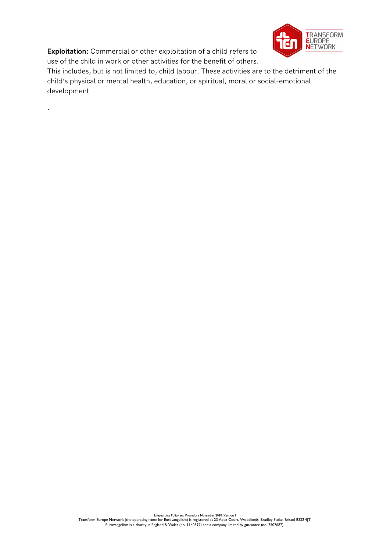Exploitation: Commercial or other exploitation of a child refers to use of the child in work or other activities for the benefit of others.

.



This includes, but is not limited to, child labour. These activities are to the detriment of the child's physical or mental health, education, or spiritual, moral or social-emotional development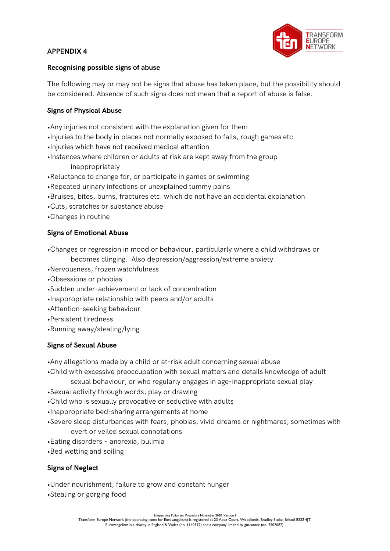

#### Recognising possible signs of abuse

The following may or may not be signs that abuse has taken place, but the possibility should be considered. Absence of such signs does not mean that a report of abuse is false.

#### Signs of Physical Abuse

•Any injuries not consistent with the explanation given for them •Injuries to the body in places not normally exposed to falls, rough games etc. •Injuries which have not received medical attention •Instances where children or adults at risk are kept away from the group inappropriately •Reluctance to change for, or participate in games or swimming •Repeated urinary infections or unexplained tummy pains •Bruises, bites, burns, fractures etc. which do not have an accidental explanation •Cuts, scratches or substance abuse

•Changes in routine

#### Signs of Emotional Abuse

•Changes or regression in mood or behaviour, particularly where a child withdraws or

becomes clinging. Also depression/aggression/extreme anxiety

- •Nervousness, frozen watchfulness
- •Obsessions or phobias
- •Sudden under-achievement or lack of concentration
- •Inappropriate relationship with peers and/or adults
- •Attention-seeking behaviour
- •Persistent tiredness
- •Running away/stealing/lying

#### Signs of Sexual Abuse

•Any allegations made by a child or at-risk adult concerning sexual abuse

•Child with excessive preoccupation with sexual matters and details knowledge of adult

sexual behaviour, or who regularly engages in age-inappropriate sexual play

- •Sexual activity through words, play or drawing
- •Child who is sexually provocative or seductive with adults
- •Inappropriate bed-sharing arrangements at home
- •Severe sleep disturbances with fears, phobias, vivid dreams or nightmares, sometimes with overt or veiled sexual connotations
- •Eating disorders anorexia, bulimia
- •Bed wetting and soiling

#### Signs of Neglect

- •Under nourishment, failure to grow and constant hunger
- •Stealing or gorging food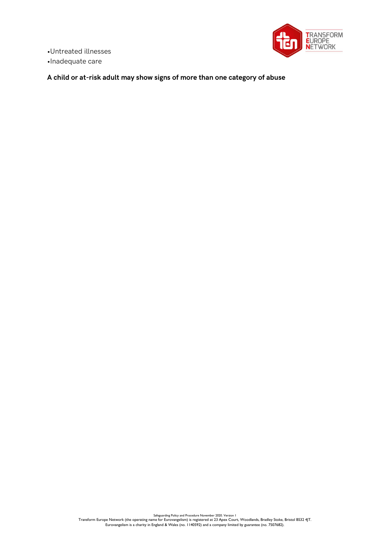•Untreated illnesses •Inadequate care



A child or at-risk adult may show signs of more than one category of abuse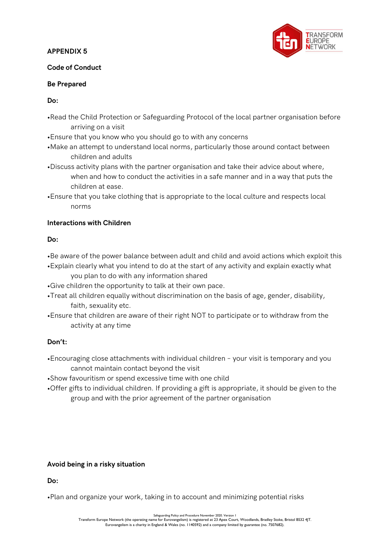

### Code of Conduct

### Be Prepared

## Do:

- •Read the Child Protection or Safeguarding Protocol of the local partner organisation before arriving on a visit
- •Ensure that you know who you should go to with any concerns
- •Make an attempt to understand local norms, particularly those around contact between children and adults
- •Discuss activity plans with the partner organisation and take their advice about where, when and how to conduct the activities in a safe manner and in a way that puts the children at ease.
- •Ensure that you take clothing that is appropriate to the local culture and respects local norms

# Interactions with Children

# Do:

- •Be aware of the power balance between adult and child and avoid actions which exploit this
- •Explain clearly what you intend to do at the start of any activity and explain exactly what you plan to do with any information shared
- •Give children the opportunity to talk at their own pace.
- •Treat all children equally without discrimination on the basis of age, gender, disability, faith, sexuality etc.
- •Ensure that children are aware of their right NOT to participate or to withdraw from the activity at any time

# Don't:

- •Encouraging close attachments with individual children your visit is temporary and you cannot maintain contact beyond the visit
- •Show favouritism or spend excessive time with one child
- •Offer gifts to individual children. If providing a gift is appropriate, it should be given to the group and with the prior agreement of the partner organisation

# Avoid being in a risky situation

Do:

•Plan and organize your work, taking in to account and minimizing potential risks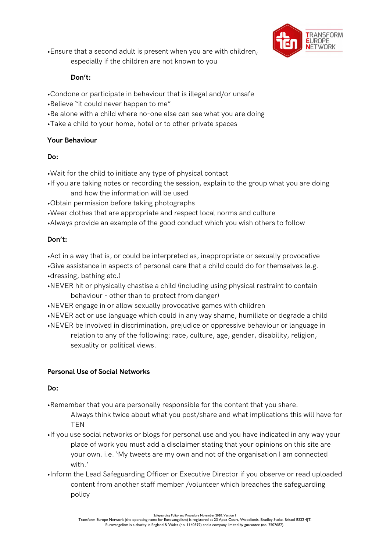

•Ensure that a second adult is present when you are with children,

especially if the children are not known to you

# Don't:

- •Condone or participate in behaviour that is illegal and/or unsafe
- •Believe "it could never happen to me"
- •Be alone with a child where no-one else can see what you are doing
- •Take a child to your home, hotel or to other private spaces

# Your Behaviour

# Do:

•Wait for the child to initiate any type of physical contact

- •If you are taking notes or recording the session, explain to the group what you are doing and how the information will be used
- •Obtain permission before taking photographs
- •Wear clothes that are appropriate and respect local norms and culture
- •Always provide an example of the good conduct which you wish others to follow

# Don't:

•Act in a way that is, or could be interpreted as, inappropriate or sexually provocative •Give assistance in aspects of personal care that a child could do for themselves (e.g. •dressing, bathing etc.)

- •NEVER hit or physically chastise a child (including using physical restraint to contain behaviour - other than to protect from danger)
- •NEVER engage in or allow sexually provocative games with children
- •NEVER act or use language which could in any way shame, humiliate or degrade a child •NEVER be involved in discrimination, prejudice or oppressive behaviour or language in

relation to any of the following: race, culture, age, gender, disability, religion, sexuality or political views.

# Personal Use of Social Networks

# Do:

•Remember that you are personally responsible for the content that you share.

Always think twice about what you post/share and what implications this will have for **TFN** 

- •If you use social networks or blogs for personal use and you have indicated in any way your place of work you must add a disclaimer stating that your opinions on this site are your own. i.e. 'My tweets are my own and not of the organisation I am connected with.'
- •Inform the Lead Safeguarding Officer or Executive Director if you observe or read uploaded content from another staff member /volunteer which breaches the safeguarding policy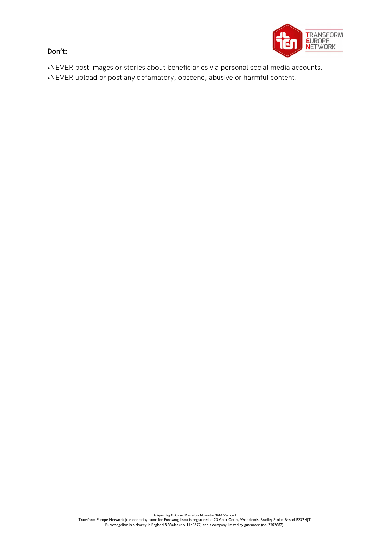Don't:



•NEVER post images or stories about beneficiaries via personal social media accounts. •NEVER upload or post any defamatory, obscene, abusive or harmful content.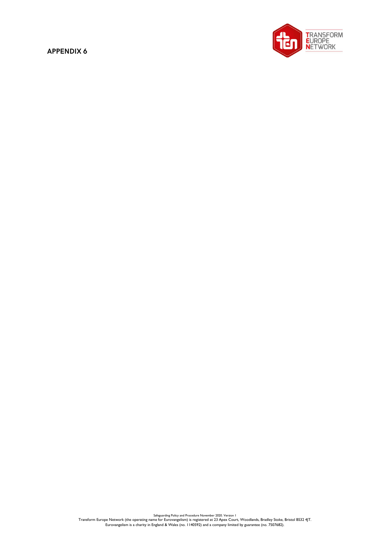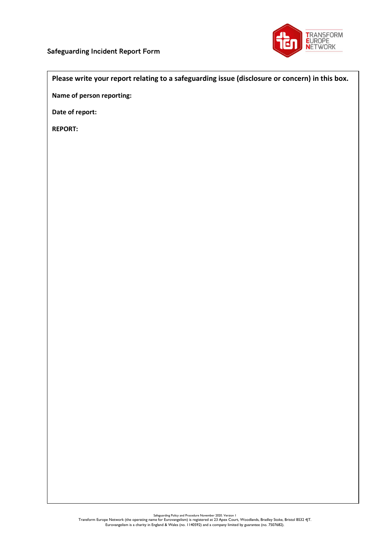

#### Please write your report relating to a safeguarding issue (disclosure or concern) in this box.

Name of person reporting:

Date of report:

REPORT: